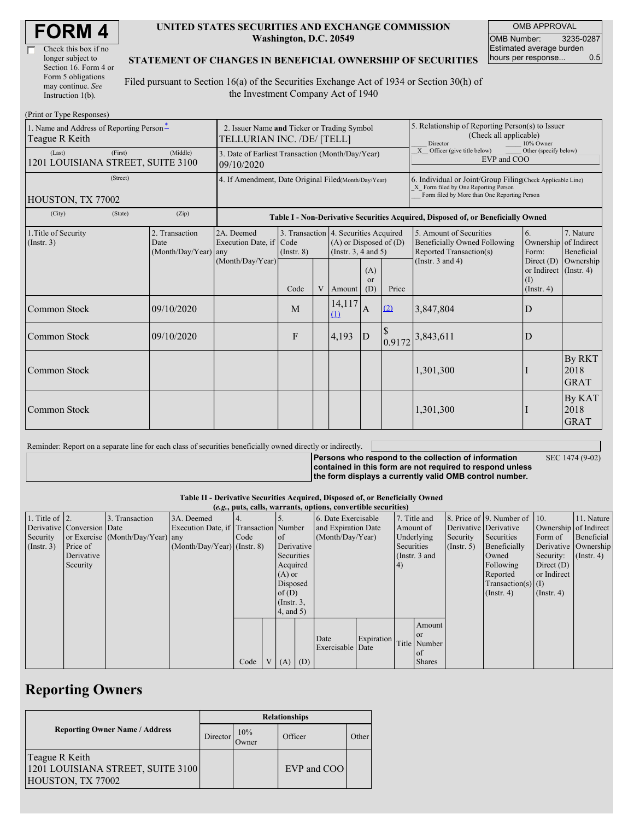| Check this box if no  |
|-----------------------|
| longer subject to     |
| Section 16. Form 4 or |
| Form 5 obligations    |
| may continue. See     |
| Instruction 1(b).     |

#### **UNITED STATES SECURITIES AND EXCHANGE COMMISSION Washington, D.C. 20549**

OMB APPROVAL OMB Number: 3235-0287 Estimated average burden hours per response... 0.5

#### **STATEMENT OF CHANGES IN BENEFICIAL OWNERSHIP OF SECURITIES**

Filed pursuant to Section 16(a) of the Securities Exchange Act of 1934 or Section 30(h) of the Investment Company Act of 1940

| (Print or Type Responses)                                          |                                                                                  |                                    |                                                                  |                 |   |                                                                                             |                                                                                                                                                    |                                                                      |                                                                                           |                                                                   |                                        |
|--------------------------------------------------------------------|----------------------------------------------------------------------------------|------------------------------------|------------------------------------------------------------------|-----------------|---|---------------------------------------------------------------------------------------------|----------------------------------------------------------------------------------------------------------------------------------------------------|----------------------------------------------------------------------|-------------------------------------------------------------------------------------------|-------------------------------------------------------------------|----------------------------------------|
| 1. Name and Address of Reporting Person*<br>Teague R Keith         | 2. Issuer Name and Ticker or Trading Symbol<br>TELLURIAN INC. /DE/ [TELL]        |                                    |                                                                  |                 |   |                                                                                             | 5. Relationship of Reporting Person(s) to Issuer<br>(Check all applicable)<br>Director<br>10% Owner                                                |                                                                      |                                                                                           |                                                                   |                                        |
| (First)<br>(Middle)<br>(Last)<br>1201 LOUISIANA STREET, SUITE 3100 |                                                                                  |                                    | 3. Date of Earliest Transaction (Month/Day/Year)<br>09/10/2020   |                 |   |                                                                                             |                                                                                                                                                    | X Officer (give title below)<br>Other (specify below)<br>EVP and COO |                                                                                           |                                                                   |                                        |
| (Street)<br>HOUSTON, TX 77002                                      | 4. If Amendment, Date Original Filed(Month/Day/Year)                             |                                    |                                                                  |                 |   |                                                                                             | 6. Individual or Joint/Group Filing(Check Applicable Line)<br>X Form filed by One Reporting Person<br>Form filed by More than One Reporting Person |                                                                      |                                                                                           |                                                                   |                                        |
| (City)<br>(State)                                                  | Table I - Non-Derivative Securities Acquired, Disposed of, or Beneficially Owned |                                    |                                                                  |                 |   |                                                                                             |                                                                                                                                                    |                                                                      |                                                                                           |                                                                   |                                        |
| 1. Title of Security<br>(Insert. 3)                                | Date                                                                             | 2. Transaction<br>(Month/Day/Year) | 2A. Deemed<br>Execution Date, if Code<br>any<br>(Month/Day/Year) | $($ Instr. $8)$ |   | 3. Transaction 4. Securities Acquired<br>$(A)$ or Disposed of $(D)$<br>(Insert. 3, 4 and 5) |                                                                                                                                                    |                                                                      | 5. Amount of Securities<br><b>Beneficially Owned Following</b><br>Reported Transaction(s) | 6.<br>Ownership<br>Form:                                          | 7. Nature<br>of Indirect<br>Beneficial |
|                                                                    |                                                                                  |                                    |                                                                  | Code            | V | Amount                                                                                      | (A)<br><b>or</b><br>(D)                                                                                                                            | Price                                                                | (Instr. $3$ and $4$ )                                                                     | Direct $(D)$<br>or Indirect (Instr. 4)<br>(1)<br>$($ Instr. 4 $)$ | Ownership                              |
| Common Stock                                                       |                                                                                  | 09/10/2020                         |                                                                  | M               |   | 14,117<br>$\Omega$                                                                          | $\overline{A}$                                                                                                                                     | (2)                                                                  | 3,847,804                                                                                 | D                                                                 |                                        |
| Common Stock                                                       |                                                                                  | 09/10/2020                         |                                                                  | F               |   | 4,193                                                                                       | D                                                                                                                                                  | 0.9172                                                               | 3,843,611                                                                                 | D                                                                 |                                        |
| Common Stock                                                       |                                                                                  |                                    |                                                                  |                 |   |                                                                                             |                                                                                                                                                    |                                                                      | 1,301,300                                                                                 |                                                                   | <b>By RKT</b><br>2018<br><b>GRAT</b>   |
| Common Stock                                                       |                                                                                  |                                    |                                                                  |                 |   |                                                                                             |                                                                                                                                                    |                                                                      | 1,301,300                                                                                 |                                                                   | By KAT<br>2018<br><b>GRAT</b>          |

Reminder: Report on a separate line for each class of securities beneficially owned directly or indirectly.

**Persons who respond to the collection of information**

SEC 1474 (9-02)

**contained in this form are not required to respond unless the form displays a currently valid OMB control number.**

### **Table II - Derivative Securities Acquired, Disposed of, or Beneficially Owned**

|                        | (e.g., puts, calls, warrants, options, convertible securities) |                                  |                                       |      |  |                 |          |                          |                   |               |               |                      |                              |                       |                      |
|------------------------|----------------------------------------------------------------|----------------------------------|---------------------------------------|------|--|-----------------|----------|--------------------------|-------------------|---------------|---------------|----------------------|------------------------------|-----------------------|----------------------|
| 1. Title of $\vert$ 2. |                                                                | 3. Transaction                   | 3A. Deemed                            |      |  |                 |          | 6. Date Exercisable      |                   | 7. Title and  |               |                      | 8. Price of 9. Number of 10. |                       | 11. Nature           |
|                        | Derivative Conversion Date                                     |                                  | Execution Date, if Transaction Number |      |  |                 |          | and Expiration Date      |                   | Amount of     |               |                      | Derivative Derivative        | Ownership of Indirect |                      |
| Security               |                                                                | or Exercise (Month/Day/Year) any |                                       | Code |  | $\circ$ f       |          | (Month/Day/Year)         |                   | Underlying    |               | Security             | Securities                   | Form of               | Beneficial           |
| (Insert. 3)            | Price of                                                       |                                  | $(Month/Day/Year)$ (Instr. 8)         |      |  | Derivative      |          |                          |                   |               | Securities    | $($ Instr. 5 $)$     | Beneficially                 |                       | Derivative Ownership |
|                        | Derivative                                                     |                                  |                                       |      |  | Securities      |          |                          |                   | (Instr. 3 and |               |                      | Owned                        | Security:             | $($ Instr. 4 $)$     |
|                        | Security                                                       |                                  |                                       |      |  | Acquired        |          |                          | (4)               |               |               | Following            | Direct $(D)$                 |                       |                      |
|                        |                                                                |                                  |                                       |      |  | $(A)$ or        |          |                          |                   |               |               | Reported             | or Indirect                  |                       |                      |
|                        |                                                                |                                  |                                       |      |  |                 | Disposed |                          |                   |               |               | Transaction(s) $(I)$ |                              |                       |                      |
|                        |                                                                |                                  |                                       |      |  |                 | of $(D)$ |                          |                   |               |               | $($ Instr. 4 $)$     | $($ Instr. 4 $)$             |                       |                      |
|                        |                                                                |                                  |                                       |      |  | $($ Instr. $3,$ |          |                          |                   |               |               |                      |                              |                       |                      |
|                        |                                                                |                                  |                                       |      |  | 4, and 5)       |          |                          |                   |               |               |                      |                              |                       |                      |
|                        |                                                                |                                  |                                       |      |  |                 |          |                          |                   |               | Amount        |                      |                              |                       |                      |
|                        |                                                                |                                  |                                       |      |  |                 |          |                          |                   |               | <b>or</b>     |                      |                              |                       |                      |
|                        |                                                                |                                  |                                       |      |  |                 |          | Date<br>Exercisable Date | <b>Expiration</b> |               | Title Number  |                      |                              |                       |                      |
|                        |                                                                |                                  |                                       |      |  |                 |          |                          |                   |               | of            |                      |                              |                       |                      |
|                        |                                                                |                                  |                                       | Code |  | $V(A)$ (D)      |          |                          |                   |               | <b>Shares</b> |                      |                              |                       |                      |

### **Reporting Owners**

|                                                                          | <b>Relationships</b> |              |             |       |  |  |  |  |
|--------------------------------------------------------------------------|----------------------|--------------|-------------|-------|--|--|--|--|
| <b>Reporting Owner Name / Address</b>                                    | Director             | 10%<br>Owner | Officer     | Other |  |  |  |  |
| Teague R Keith<br>1201 LOUISIANA STREET, SUITE 3100<br>HOUSTON, TX 77002 |                      |              | EVP and COO |       |  |  |  |  |